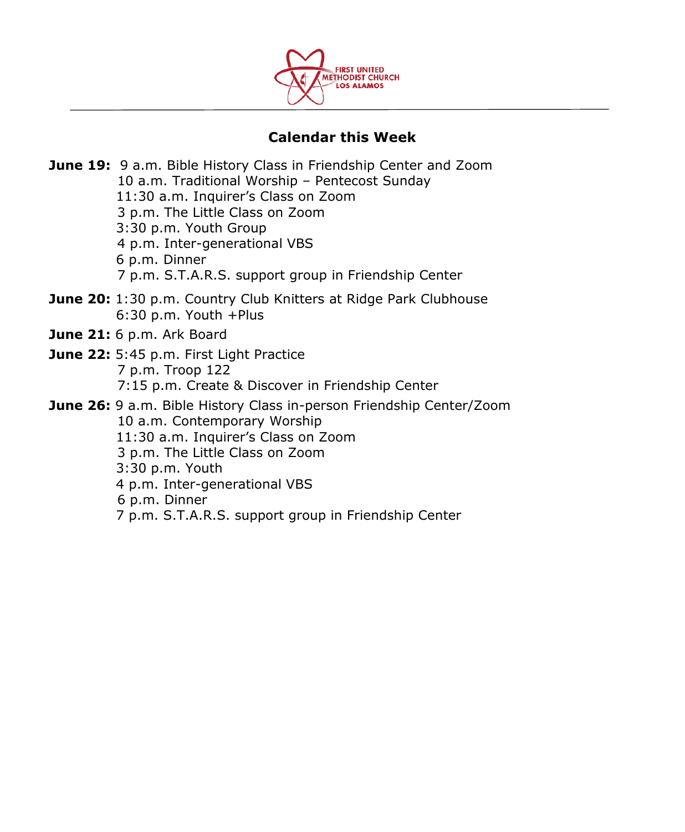

# **Calendar this Week**

**June 19:** 9 a.m. Bible History Class in Friendship Center and Zoom 10 a.m. Traditional Worship – Pentecost Sunday 11:30 a.m. Inquirer's Class on Zoom 3 p.m. The Little Class on Zoom 3:30 p.m. Youth Group 4 p.m. Inter-generational VBS 6 p.m. Dinner 7 p.m. S.T.A.R.S. support group in Friendship Center **June 20:** 1:30 p.m. Country Club Knitters at Ridge Park Clubhouse 6:30 p.m. Youth +Plus **June 21:** 6 p.m. Ark Board **June 22:** 5:45 p.m. First Light Practice 7 p.m. Troop 122 7:15 p.m. Create & Discover in Friendship Center **June 26:** 9 a.m. Bible History Class in-person Friendship Center/Zoom 10 a.m. Contemporary Worship 11:30 a.m. Inquirer's Class on Zoom 3 p.m. The Little Class on Zoom 3:30 p.m. Youth 4 p.m. Inter-generational VBS 6 p.m. Dinner 7 p.m. S.T.A.R.S. support group in Friendship Center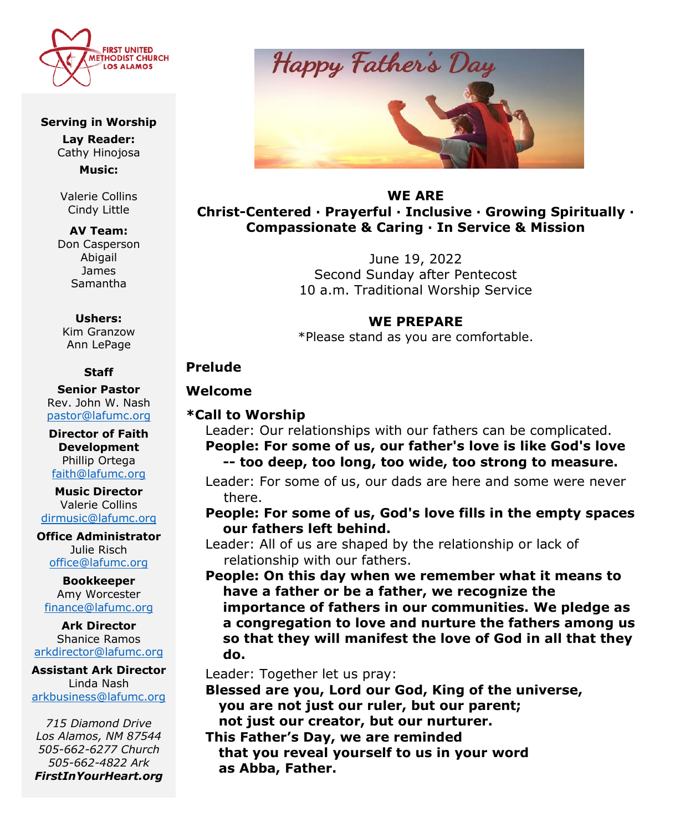

#### **Serving in Worship**

**Lay Reader:** Cathy Hinojosa

**Music:**

Valerie Collins Cindy Little

**AV Team:** Don Casperson Abigail James Samantha

#### **Ushers:**

Kim Granzow Ann LePage

#### **Staff**

**Senior Pastor**  Rev. John W. Nash [pastor@lafumc.org](mailto:pastor@lafumc.org)

**Director of Faith Development** Phillip Ortega [faith@lafumc.org](mailto:faith@lafumc.org)

**Music Director** Valerie Collins [dirmusic@lafumc.org](mailto:dirmusic@lafumc.org)

**Office Administrator** Julie Risch [office@lafumc.org](mailto:office@lafumc.org)

**Bookkeeper** Amy Worcester [finance@lafumc.org](mailto:finance@lafumc.org)

**Ark Director** Shanice Ramos [arkdirector@lafumc.org](mailto:arkdirector@lafumc.org)

**Assistant Ark Director** Linda Nash [arkbusiness@lafumc.org](mailto:arkbusiness@lafumc.org)

*715 Diamond Drive Los Alamos, NM 87544 505-662-6277 Church 505-662-4822 Ark FirstInYourHeart.org*



**WE ARE Christ-Centered ∙ Prayerful ∙ Inclusive ∙ Growing Spiritually ∙ Compassionate & Caring ∙ In Service & Mission**

> June 19, 2022 Second Sunday after Pentecost 10 a.m. Traditional Worship Service

#### **WE PREPARE**

\*Please stand as you are comfortable.

### **Prelude**

#### **Welcome**

### **\*Call to Worship**

Leader: Our relationships with our fathers can be complicated. **People: For some of us, our father's love is like God's love** 

## **-- too deep, too long, too wide, too strong to measure.**

Leader: For some of us, our dads are here and some were never there.

### **People: For some of us, God's love fills in the empty spaces our fathers left behind.**

Leader: All of us are shaped by the relationship or lack of relationship with our fathers.

**People: On this day when we remember what it means to have a father or be a father, we recognize the importance of fathers in our communities. We pledge as a congregation to love and nurture the fathers among us so that they will manifest the love of God in all that they do.**

Leader: Together let us pray:

**Blessed are you, Lord our God, King of the universe, you are not just our ruler, but our parent; not just our creator, but our nurturer.**

**This Father's Day, we are reminded that you reveal yourself to us in your word as Abba, Father.**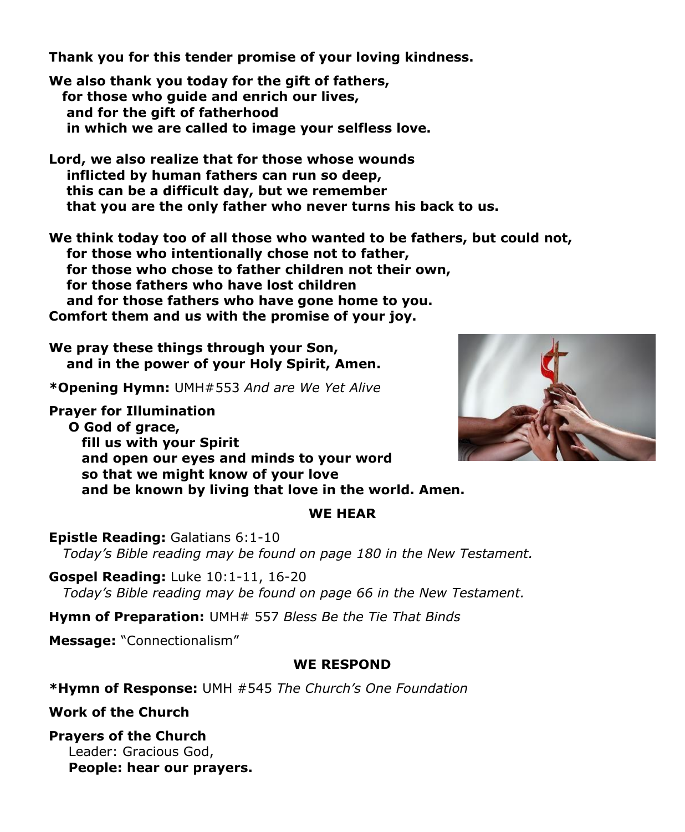**Thank you for this tender promise of your loving kindness.**

**We also thank you today for the gift of fathers, for those who guide and enrich our lives, and for the gift of fatherhood in which we are called to image your selfless love.**

**Lord, we also realize that for those whose wounds inflicted by human fathers can run so deep, this can be a difficult day, but we remember that you are the only father who never turns his back to us.**

**We think today too of all those who wanted to be fathers, but could not, for those who intentionally chose not to father, for those who chose to father children not their own, for those fathers who have lost children and for those fathers who have gone home to you. Comfort them and us with the promise of your joy.**

**We pray these things through your Son, and in the power of your Holy Spirit, Amen.**

**\*Opening Hymn:** UMH#553 *And are We Yet Alive*

**Prayer for Illumination O God of grace, fill us with your Spirit and open our eyes and minds to your word so that we might know of your love and be known by living that love in the world. Amen.**

### **WE HEAR**

**Epistle Reading:** Galatians 6:1-10  *Today's Bible reading may be found on page 180 in the New Testament.*

**Gospel Reading:** Luke 10:1-11, 16-20  *Today's Bible reading may be found on page 66 in the New Testament.*

**Hymn of Preparation:** UMH# 557 *Bless Be the Tie That Binds*

**Message:** "Connectionalism"

## **WE RESPOND**

**\*Hymn of Response:** UMH #545 *The Church's One Foundation*

**Work of the Church**

# **Prayers of the Church**

Leader: Gracious God, **People: hear our prayers.**